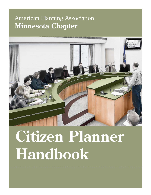## American Planning Association **Minnesota Chapter**



# **Citizen Planner Handbook**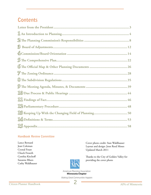## **Contents**

#### **Handbook Review Committee**

Lance Bernard Jean Coleman Crystal Foust Chuck Froseth Cynthia Kirchoff Suzanne Rhees Cathy Waldhauser

Cover photo credit: Stan Waldhauser Layout and design: Jenn Reed Moses Updated March 2011

Thanks to the City of Golden Valley for providing the cover photo



American Planning Association **Minnesota Chapter** 

Making Great Communities Happen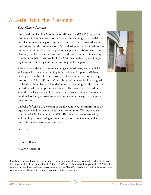#### A Letter from the President A Letter from the President and wish his new states and wish him the best of luck on his new states and wish h On behalf of the APA MN Board, we would like to thank Mike  $\mathbf{v}$  is the point person for the point person for the point person for the point person for the point person for the point person for the point person for the point person for the point person for the point person for

nation letter.

#### Dear Citizen Planners, newsletter@mnapa.com  $\mathscr{L}$

The American Planning Association of Minnesota (APA MN) represents a vast range of planning professionals involved in planning-related activities on behalf of state and regional agencies, counties, cities, towns, educational institutions, and the private sector. Our leadership as a professional institution captures more than just the professional planner. We recognize that planning enables civic leaders and citizens who are committed to creating communities that enrich people's lives. Our membership represents a growcommunities that enfield people's lives. Our intendership replaint in gradient control in the support. planning enables civic leaders and citizens wl **changes of address:**  APA Minnesota is seeking to fill the Vice president position of Minnesota (APA MIN) represents ivate sector. Our leadership as a professional institu-Manners who we are pro

APA MN provides assistance to planning commissioners, elected officials and engaged citizens with training, information and support. We have developed a number of tools to assure excellence in the decision making process. The Citizen Planner Manual is one of those tools. It is designed to give the citizen planner a foundation in civic planning and the resources needed to make sound planning decisions. The manual may not address all of the challenges you will face as a citizen planner, but it will serve as a building block to your training as you become more engaged in the planning process. APA MN provides assistance to planning commissioners, elected process. In ww.mna I will face as a citizen planner, but it will serve as a gan January 1, 2009) had logged at least 16 of the 32 required cred-

On behalf of APA MN, we want to thank you for your commitment to the organization and more importantly, your community. We hope you will consider APA MN as a resource. APA MN offers a variety of workshops and training sessions during our state and national conferences, and a national clearinghouse of training material. we want to thank you for your communitient to the  $\frac{1}{1}$ 

Sincerely,  $\sum_{i=1}^{n}$ 

Lance H. Bernard newsletter are those of the authors. Lance H. Bernard

APA MN President

Please Note: The handbook was first established by the Minnesota Planning Association (MPA) in the early 90's. It was published and copy written in 2000. In 2006, MPA dissolved and merged with APA MN. Since that time, the handbook has been overseen and updated by APA MN. Revisions to the handbook have been made by certified planners and volunteers dedicated to their profession.



 Don't let your AICP membership lapse! Non-exempt AICP members in the 2009–10 CM cohort who have not completed CM requirements have until April 30, 2011 to earn and log up to 32 credits (including 1.5 legal and 1.5 ethics credits). Missing this deadline will cause your AICP membership to lapse (retroactively to January 1, 2011) and require reinstatement before regaining use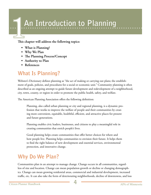# **An Introduction to Planning**

**This chapter will address the following topics:**

- **• What is Planning?**
- **• Why We Plan**
- **• The Planning Process/Concept**
- **• Authority to Plan**
- **• References**

## **What Is Planning?**

Webster's Dictionary defines planning as "the act of making or carrying out plans; the establishment of goals, policies, and procedures for a social or economic unit." Community planning is often described as an ongoing attempt to guide future development and redevelopment of a neighborhood, city, town, county, or region in order to promote the public health, safety, and welfare.

The American Planning Association offers the following definition:

Planning, also called urban planning or city and regional planning, is a dynamic profession that works to improve the welfare of people and their communities by creating more convenient, equitable, healthful, efficient, and attractive places for present and future generations.

Planning enables civic leaders, businesses, and citizens to play a meaningful role in creating communities that enrich people's lives.

Good planning helps create communities that offer better choices for where and how people live. Planning helps communities to envision their future. It helps them to find the right balance of new development and essential services, environmental protection, and innovative change.

## **Why Do We Plan?**

Communities plan in an attempt to manage change. Change occurs in all communities, regardless of size and location. Change can mean population growth or decline or changing demographics. Change can mean growing residential areas, commercial and industrial development, increased traffic, etc. It can also take the form of deteriorating neighborhoods, decline of downtowns, and loss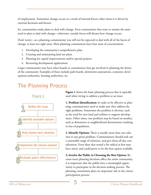of employment. Sometimes change occurs as a result of internal forces; other times it is driven by external decisions and factors.

So, communities make plans to deal with change. Even communities that want to remain the same need to plan to deal with change—otherwise, outside forces will dictate how change occurs.

Don't worry—as a planning commissioner you will not be expected to deal with all of the facets of change, at least not right away. Most planning commissions have four areas of concentration:

- 1. Developing the community's comprehensive plan
- 2. Creating and maintaining land use plans
- 3. Planning for capital improvements and/or special projects
- 4. Reviewing development applications

Larger communities may have other boards or commissions that get involved in planning the future of the community. Examples of these include park boards, downtown associations, economic development authorities, housing authorities, etc.

## **The Planning Process**



**Figure 1** shows the basic planning process that is typically used when trying to address a problem or an issue:

**1. Problem Identification:** In order to be effective at planning, commissioners need to make sure they address the right problems. Sometimes the problem is obvious, such as the need for new land and utilities to support development. Other times, one problem may be based on another, such as downtown or neighborhood deterioration resulting in loss of population.

**2. Identify Options:** There is usually more than one solution to any given problem. Commissioners should seek out a reasonable range of solutions, and give them all due consideration. Even ideas that sound a bit radical at first may have merit, and could prove to be the best option available.

**3. Involve the Public in Choosing the Best Option:** Because most planning decisions affect the entire community, it is important that the public have a meaningful opportunity to participate in the decision making process. The planning commission plays an important role in the citizen participation process.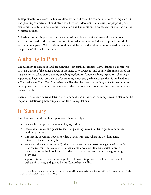**4. Implementation:** Once the best solution has been chosen, the community needs to implement it. The planning commission should play a role here too—developing, evaluating, or proposing policies, ordinances (for example, zoning regulations) and administrative procedures for carrying out the necessary actions.

**5. Evaluation:** It is important that the commission evaluate the effectiveness of the solutions that were implemented. Did they work, or not? If not, what went wrong? What happened instead of what was anticipated? Will a different option work better, or does the community need to redefine the problem? The cycle continues.

## **Authority to Plan**

The authority to engage in land use planning is set forth in Minnesota law. Planning is considered to be an exercise of the police powers of the state. City, township, and county planning is based on state law (often called state planning enabling legislation)<sup>1</sup>. Under enabling legislation, planning is supposed to begin with an analysis of community needs and goals which are then formulated into a Comprehensive Plan. The Comprehensive Plan then becomes the guiding policy for community development, and the zoning ordinance and other land use regulations must be based on this comprehensive plan.

There will be more discussion later in this handbook about the need for comprehensive plans and the important relationship between plans and land use regulations.

## **In Summary**

The planning commission is an appointed advisory body that:

- receives its charge from state enabling legislation;
- researches, studies, and generates ideas on planning issues in order to guide community land use planning;
- informs the governing body as to what citizens want and where the best long range interests of the community lie;
- evaluates information from staff, other public agencies, and testimony gathered in public hearings regarding development proposals, ordinance amendments, capital improvements, and other land use issues, in order to make recommendations to the governing body; and
- supports its decisions with findings of fact designed to promote the health, safety and welfare of citizens, and guided by the Comprehensive Plan.

<sup>1</sup> For cities and townships, the authority to plan is found in Minnesota Statutes Section 462.353. Counties are authorized to plan under Minnesota Statutes Section 394.23.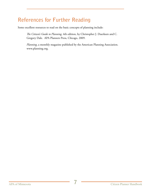## **References for Further Reading**

Some excellent resources to read on the basic concepts of planning include:

*The Citizen's Guide to Planning*, 4th edition, by Christopher J. Duerksen and C. Gregory Dale. APA Planners Press, Chicago, 2009.

*Planning*, a monthly magazine published by the American Planning Association. www.planning.org.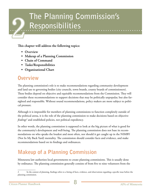## **The Planning Commission's Responsibilities** 2

**This chapter will address the following topics:**

- **• Overview**
- **• Makeup of a Planning Commission**
- **• Chain of Command**
- **• Tasks/Responsibilities**
- **• Organizational Chart**

## **Overview**

The planning commission's role is to make recommendations regarding community development and land use to governing bodies (city councils, town boards, county boards of commissioners). These bodies depend on objective and equitable recommendations from the Commission. They will consider these recommendations to support decisions that may be politically unpopular, but also farsighted and responsible. Without sound recommendations, policy makers are more subject to political pressure.

Although it is impossible for members of planning commissions to function completely outside of the political arena, it is the role of the planning commission to make decisions based on objective *findings2* and established policies, not political expediency.

In other words, the planning commission is supposed to look at the big picture of what is good for the community's development and well-being. The planning commission does not base its recommendations on who speaks the loudest and most often, nor should it get caught up in the NIMBY (Not In My Back Yard) mentality. The commission should consider facts and evidence, and make recommendations based on its findings and ordinances.

## **Makeup of a Planning Commission**

Minnesota law authorizes local governments to create planning commissions. This is usually done by ordinance. The planning commission generally consists of from five to nine volunteers from the

<sup>2</sup> In the context of planning, findings refers to a listing of facts, evidence, and observations regarding a specific issue before the planning commission.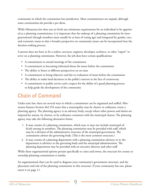community in which the commission has jurisdiction. Most commissioners are unpaid, although some communities do provide a per diem.

While Minnesota law does not set forth any minimum requirements for an individual to be appointed as a planning commissioner, it is important that the makeup of a planning commission be intergenerational (though members must usually be at least of voting age) and integrated by gender, race, and economic status so that a broader perspective on community issues can be incorporated into the decision making process.

A person does not have to be a realtor, surveyor, engineer, developer, architect, or other "expert" to serve on a planning commission. However, the job does have certain qualifications:

- A commitment to attend meetings of the commission
- A commitment to becoming informed about the issues before the commission
- The ability to listen to different perspectives on an issue
- A commitment to being objective and fair in evaluation of issues before the commission
- The ability to make hard decisions in the public's interest in the face of controversy
- A commitment to public service and a respect for the ability of a good planning process to help guide the development of the community

## **Chain of Command**

Under state law, there are several ways in which a commission can be organized and staffed. Minnesota Statutes Section 462.354 states that a municipality may by charter or ordinance create a planning agency. The planning agency is an advisory body, except where other powers and duties are imposed by statute, by charter, or by ordinance consistent with the municipal charter. The planning agency may take the following alternative forms:

- 1. It may consist of a planning commission, which may or may not include municipal officials among its members. The planning commission may be provided with staff, which may be a division of the administrative structure of the municipal government. The commission advises the governing body. (This is the most common structure.)
- 2. It may consist of a planning department with a planning commission advisory to it; the department is advisory to the governing body and the municipal administration. The planning department may be provided with an executive director and other staff.

While these organizational options pertain specifically to cities and towns, the structure for county or township planning commissions is similar.

An organizational chart can be used to diagram your community's government structure, and the placement and role of the planning commission in this structure. If your community has one, please insert it on page 11.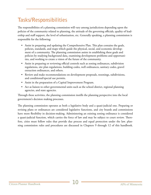## **Tasks/Responsibilities**

The responsibilities of a planning commission will vary among jurisdictions depending upon the policies of the community related to planning, the attitude of the governing officials, quality of leadership and staff support, the level of urbanization, etc. Generally speaking, a planning commission is responsible for the following:

- Assist in preparing and updating the Comprehensive Plan. This plan contains the goals, policies, standards, and maps which guide the physical, social, and economic development of a community. The planning commission assists in establishing these goals and policies by studying background data, examining development problems and opportunities, and working to create a vision of the future of the community.
- Assist in preparing or reviewing official controls such as zoning ordinances, subdivision regulations, site plan regulations, building codes, well ordinances, sanitary codes, gravel extraction ordinances, and others.
- • Review and make recommendations on development proposals, rezonings, subdivisions, and conditional/special use permits.
- Assist in the preparation of a Capital Improvement Program.
- Act as liaison to other governmental units such as the school district, regional planning agencies, and state agencies.

Through these activities, the planning commission instills the planning perspective into the local government's decision making processes.

The planning commission operates as both a legislative body and a quasi-judicial one. Preparing or revising plans or ordinances are considered legislative functions, and city boards and commissions have more flexibility in decision-making. Administering an existing zoning ordinance is considered a quasi-judicial function, which carries the force of law and may be subject to court review. Therefore, cities must follow rules that provide due process and equal protection under the law. planning commission rules and procedures are discussed in Chapters 9 through 12 of this handbook.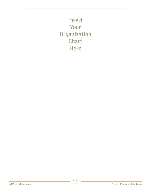**Insert Your Organization Chart Here**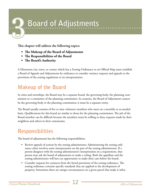# **Board of Adjustments**

**This chapter will address the following topics:** 

- **• The Makeup of the Board of Adjustments**
- **• The Responsibilities of the Board**
- **• The Board's Authority**

A Minnesota city, town, or county which has a Zoning Ordinance or an Official Map must establish a Board of Appeals and Adjustments by ordinance to consider variance requests and appeals to the provisions of the zoning regulations or its interpretations.

## **Makeup of the Board**

In cities and townships, the Board may be a separate board, the governing body, the planning commission or a committee of the planning commission. In counties, the Board of Adjustment cannot be the governing body or the planning commission; it must be a separate entity.

The Board usually consists of five to nine volunteer members who meet on a monthly or as-needed basis. Qualifications for this board are similar to those for the planning commission. The job of the Board member can be difficult because the members must be willing to deny requests made by their neighbors and others in their community.

## **Responsibilities**

The board of adjustments has the following responsibilities:

- Review appeals of actions by the zoning administrator. Administering the zoning ordinance often involves some interpretation on the part of the zoning administrator. If a person disagrees with the zoning administrator's interpretation on a requirement, that person may ask the board of adjustments to make a ruling. Both the appellant and the zoning administrator will have an opportunity to make their case before the board.
- Consider requests for variances from the literal provisions of the zoning ordinance. The zoning ordinance contains specific standards that are applied to the development of property. Sometimes there are unique circumstances on a given parcel that make it infea-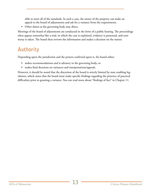sible to meet all of the standards. In such a case, the owner of the property can make an appeal to the board of adjustments and ask for a variance from the requirements.

• Other duties as the governing body may direct.

Meetings of the board of adjustments are conducted in the form of a public hearing. The proceedings often appear somewhat like a trial, in which the case is explained, evidence is presented, and testimony is taken. The board then reviews the information and makes a decision on the matter.

## **Authority**

Depending upon the jurisdiction and the powers conferred upon it, the board either:

- makes recommendations and is advisory to the governing body; or
- makes final decisions on variances and interpretations/appeals.

However, it should be noted that the discretion of the board is strictly limited by state enabling legislation, which states that the board must make specific findings regarding the presence of practical difficulties prior to granting a variance. You can read more about "findings of fact" in Chapter 11.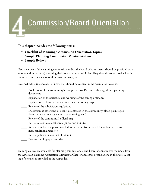# **Commission/Board Orientation** 4

**This chapter includes the following items:**

- **• Checklist of Planning Commission Orientation Topics**
- **• Sample Planning Commission Mission Statement**
- **• Sample Bylaws**

New members of the planning commission and/or the board of adjustments should be provided with an orientation session(s) outlining their roles and responsibilities. They should also be provided with resource materials such as local ordinances, maps, etc.

Provided below is a checklist of items that should be covered in the orientation sessions:

- \_\_\_\_ Brief review of the community's Comprehensive Plan and other significant planning documents
- \_\_\_\_ Explanation of the structure and workings of the zoning ordinance
- \_\_\_\_ Explanation of how to read and interpret the zoning map
- \_\_\_\_ Review of the subdivision regulations
- \_\_\_\_ Discussion of other land use controls enforced in the community (flood plain regulations, shoreland management, airport zoning, etc.)
- \_\_\_\_ Review of the community's official map
- \_\_\_\_ Review of commission/board agendas and minutes
- \_\_\_\_ Review samples of reports provided to the commission/board for variances, rezonings, conditional uses, etc.
- \_\_\_\_ Review policies on conflict of interest
- \_\_\_\_ Discuss training opportunities

Training courses are available for planning commissioners and board of adjustments members from the American Planning Association–Minnesota Chapter and other organizations in the state. A listing of contacts is provided in the Appendix.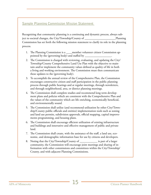#### **Sample Planning Commission Mission Statement**

Recognizing that community planning is a continuing and dynamic process, always subject to societal changes, the City/Township/County of \_\_\_\_\_\_\_\_\_\_\_\_\_\_\_\_\_\_\_\_\_Planning Commission has set forth the following mission statement to clarify its role in the planning process.

- 1. The Planning Commission is a \_\_\_\_member volunteer citizen Commission appointed by the (governing body) and staffed by
- 2. The Commission is charged with reviewing, evaluating, and updating the City/ Township/County Comprehensive Land Use Plan with the objective to maintain and/or implement the community values defined as quality of life in both a living and working environment. The Commission must then communicate these updates to the (governing body).
- 3. To accomplish the annual review of the Comprehensive Plan, the Commission encourages constructive citizen and staff participation in the public planning process through public hearings and at regular meetings, through newsletters, and through neighborhood, area, or district planning meetings.
- 4. The Commission shall complete studies and recommend long term development plans and policies which are consistent with the Comprehensive Plan and the values of the community which are life enriching, economically beneficial, and environmentally sound.
- 5. The Commission shall utilize (and recommend utilization by other City/Township/County public officials and entities) implementation tools such as zoning and land use permits, subdivision approvals, official mapping, capital improvements programming, and housing plans.
- 6. The Commission shall encourage efficient utilization of existing infrastructure and buildings and innovative and effective management of public and private land.
- 7. The Commission shall create, with the assistance of the staff, a land use, economic, and demographic information base for use by citizens and developers.
- 8. Noting that the City/Township/County of \_\_\_\_\_\_\_\_\_\_\_\_ is part of a larger community, the Commission will encourage joint meetings and sharing of information with other commissions and committees within the City/Township/ County, and with adjacent Planning Commissions.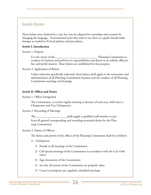#### **Sample Bylaws**

These bylaws were drafted for a city, but may be adapted for townships and counties by changing the language. Governmental units that wish to use these as a guide should make changes as needed to fit local policies and procedures.

#### **Article I. Introduction**

Section 1. Purpose

It is the intent of the\_\_\_\_\_\_\_\_\_\_\_\_\_\_\_\_\_\_\_\_\_\_\_\_\_\_\_\_\_ Planning Commission to conduct its business and perform its responsibilities and duties in an orderly, efficient, fair and lawful manner. These bylaws are established for that purpose.

Section 2. Application of Bylaws

Unless otherwise specifically indicated, these bylaws shall apply to the transaction and administration of all Planning Commission business and the conduct of all Planning Commission meetings and hearings.

#### **Article II. Offices and Duties**

Section 1. Offices Designated

The Commission, at its first regular meeting in January of each year, shall select a Chairperson and Vice Chairperson.

Section 2. Recording of Meetings

The \_\_\_\_\_\_\_\_\_\_\_\_\_\_\_\_\_\_\_\_\_shall supply a qualified staff member to perform all general corresponding and recording secretarial duties for the Planning Commission.

#### Section 3. Duties of Officers

The duties and powers of the offices of the Planning Commission shall be as follows:

#### A. Chairperson

- 1) Preside at all meetings of the Commission
- 2) Call special meetings of the Commission in accordance with the City Ordinance
- 3) Sign documents of the Commission
- 4) See that all actions of the Commission are properly taken
- 5) Cancel or postpone any regularly scheduled meetings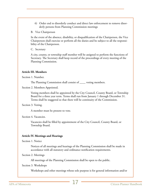6) Order end to disorderly conduct and direct law enforcement to remove disorderly persons from Planning Commission meetings

B. Vice Chairperson

In the event of the absence, disability, or disqualification of the Chairperson, the Vice Chairperson shall exercise or perform all the duties and be subject to all the responsibility of the Chairperson.

C. Secretary

A city, county, or township staff member will be assigned to perform the functions of Secretary. The Secretary shall keep record of the proceedings of every meeting of the Planning Commission.

#### **Article III. Members**

Section 1. Number.

The Planning Commission shall consist of \_\_\_\_ voting members.

Section 2. Members Appointed.

Voting members shall be appointed by the City Council, County Board, or Township Board for a three year term. Terms shall run from January 1 through December 31. Terms shall be staggered so that there will be continuity of the Commission.

Section 3. Voting.

A member must be present to vote.

Section 4. Vacancies.

Vacancies shall be filled by appointment of the City Council, County Board, or Township Board.

#### **Article IV. Meetings and Hearings**

Section 1. Notice

Notices of all meetings and hearings of the Planning Commission shall be made in accordance with all statutory and ordinance notification requirements.

Section 2. Meetings

All meetings of the Planning Commission shall be open to the public.

#### Section 3. Workshops

Workshops and other meetings whose sole purpose is for general information and/or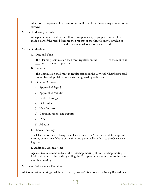educational purposes will be open to the public. Public testimony may or may not be allowed.

Section 4. Meeting Records

All tapes, minutes, evidence, exhibits, correspondence, maps, plats, etc. shall be made a part of the record, become the property of the City/County/Township of \_\_\_\_\_\_\_\_\_\_\_\_\_\_\_\_\_\_\_\_\_, and be maintained as a permanent record.

Section 5. Meetings

A. Date and Time

The Planning Commission shall meet regularly on the \_\_\_\_\_\_\_ of the month at \_\_\_ pm, or as soon as practical.

B. Location

The Commission shall meet in regular session in the City Hall Chambers/Board Room/Township Hall, or otherwise designated by ordinance.

- C. Order of Business
	- 1) Approval of Agenda
	- 2) Approval of Minutes
	- 3) Public Hearings
	- 4) Old Business
	- 5) New Business
	- 6) Communications and Reports
	- 7) Other
	- 8) Adjourn
- D. Special meetings

The Chairperson, Vice Chairperson, City Council, or Mayor may call for a special meeting at any time. Notice of the time and place shall conform to the Open Meeting Law.

E. Additional Agenda Items

Agenda items are to be added at the workshop meeting. If no workshop meeting is held, additions may be made by calling the Chairperson one week prior to the regular monthly meeting.

Section 6. Parliamentary Procedure

All Commission meetings shall be governed by Robert's Rules of Order Newly Revised in all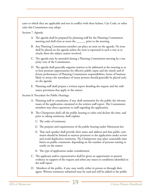cases to which they are applicable and not in conflict with these bylaws, City Code, or other rules this Commission may adopt.

Section 7. Agenda

- A. The agenda shall be prepared by planning staff for the Planning Commission meeting and shall close at noon the \_\_\_\_\_\_ prior to the meeting.
- B. Any Planning Commission member can place an item on the agenda. No item shall be placed on the agenda unless the item is expressed in such a way as to clearly show the subject matter involved.
- C. The agenda may be amended during a Planning Commission meeting by a majority vote of the Commission.
- D. The agenda shall generally organize matters to be addressed at the meeting so as to best promote opportunities for effective public input and the timely and efficient performance of Planning Commission responsibilities. Items of business likely to attract the attendance of many persons should generally be placed early on the agenda.
- E. Planning staff shall prepare a written report detailing the request and the ordinance provisions that apply to the matter.

Section 8. Procedure for Public Hearings.

- A. Planning staff or consultants, if any, shall summarize for the public the relevant issues of the application contained in the written staff report. The Commission members may direct questions to staff regarding the application.
- B. The Chairperson shall call the public hearing to order and declare the time, and prior to taking testimony, shall explain:
	- 1) The order of testimony
	- 2) The purpose and requirements of the public hearing under Minnesota law
	- 3) That each speaker shall provide their name and address and that public comments should be limited to matters pertinent to the application under review and avoid duplicative testimony. The Chairperson may place reasonable time limits on public comments, depending on the number of persons waiting to testify on the matter.
	- 4) The type of application under consideration
- C. The applicant and/or representative shall be given an opportunity to present evidence in support of the request and rebut any issues or conditions identified in the staff report
- D. Members of the public, if any, may testify, either in person or through their agent. Written testimony submitted may be read and will be added to the public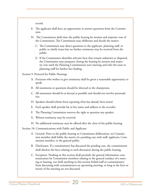record.

- E. The applicant shall have an opportunity to answer questions from the Commission.
- H. The Commission shall close the public hearing by motion and majority vote of the Commission. The Commission may deliberate and decide the matter.
	- 1) The Commission may direct questions to the applicant, planning staff, or public to clarify issues but no further testimony may be received from the public.
	- 2) If the Commission identifies relevant facts that remain unknown or disputed, the Commission may postpone closing the hearing by motion and majority vote until the Planning Commission's next meeting and refer the issue to planning staff for further fact finding.

Section 9. Protocol for Public Hearings

- A. Everyone who wishes to give testimony shall be given a reasonable opportunity to speak.
- B. All statements or questions should be directed to the chairperson.
- C. All statements should be as factual as possible and should not involve personalities.
- D. Speakers should refrain from repeating what has already been stated.
- E. Each speaker shall provide his or her name and address to the recorder.
- F. The Planning Commission reserves the right to question any speaker.
- G. Written testimony may be received.
- H. No additional testimony may be offered after the close of the public hearing.

Section 10. Communications with Public and Applicant

- A. General. Prior to the public hearing or Commission deliberation, no Commission member shall lobby the merits of a pending case with staff, applicant, Commission member, or the general public.
- B. Disclosures. If a commissioner has discussed the pending case, the commissioner shall disclose the facts relating to such discussion during the public hearing.
- C. Exception. Nothing in this section shall preclude the general information communication by Commission members relating to the general conduct of a meeting or hearing, nor shall anything in this section forbid staff or commissioners from discussing with commissioners an upcoming meeting, so long as the facts or merits of the meeting are not discussed.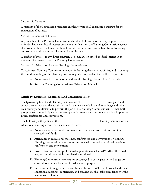Section 11. Quorum

A majority of the Commission members entitled to vote shall constitute a quorum for the transaction of business.

Section 12. Conflict of Interest

Any member of the Planning Commission who shall feel that he or she may appear to have, or in fact has, a conflict of interest on any matter that is on the Planning Commission agenda shall voluntarily excuse himself or herself, vacate his or her seat, and refrain from discussing and voting on said matter as a Planning Commissioner.

A conflict of interest is any direct contractual, pecuniary, or other beneficial interest in the outcome of a matter before the Planning Commission.

Section 13. Orientation for new Planning Commissioners

To assist new Planning Commission members in learning their responsibilities, and to develop their understanding of the planning process as quickly as possible, they will be required to:

- A. Attend an orientation session with (staff, Planning Commission Chair, other).
- B. Read the Planning Commissioner Orientation Manual.

#### **Article IV. Education, Conference and Convention Policy**

The (governing body) and Planning Commission of The Trecognize and accept the concept that the acquisition and maintenance of a body of knowledge and skills are necessary and desirable to perform the job of the Planning Commissioner. Further, both groups encourage and highly recommend periodic attendance at various educational opportunities, conferences, and conventions.

The following is the policy of the \_\_\_\_\_\_\_\_\_\_\_\_\_\_\_\_\_\_\_\_\_\_\_\_\_ Planning Commission on educational meetings, conferences, and conventions:

- A. Attendance at educational meetings, conferences, and conventions is subject to availability of funds.
- B. Attendance at educational meetings, conferences, and conventions is voluntary. Planning Commission members are encouraged to attend educational meetings, conferences, and conventions.
- C. Involvement in relevant professional organizations such as APA-MN, office holding, or committee work is considered educational.
- D. Planning Commission members are encouraged to participate in the budget process and to request allocations for educational purposes.
- E. In the event of budget constraints, the acquisition of skills and knowledge through educational meetings, conferences, and conventions shall take precedence over the maintenance of same.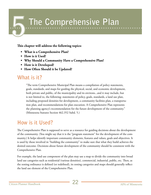## **The Comprehensive Plan**

#### **This chapter will address the following topics:**

- **• What is a Comprehensive Plan?**
- **• How is it Used?**
- **• Why Should a Community Have a Comprehensive Plan?**
- **• How is it Developed?**
- **• How Often Should it be Updated?**

### **What is it?**

"The term Comprehensive Municipal Plan means a compilation of policy statements, goals, standards, and maps for guiding the physical, social, and economic development, both private and public, of the municipality and its environs...and it may include, but is not limited to, the following: statements of policy, goals, standards, a land use plan, including proposed densities for development, a community facilities plan, a transportation plan, and recommendations for plan execution. A Comprehensive Plan represents the planning agency's recommendation for the future development of the community." (Minnesota Statutes Section 462.352 Subd. 5.)

### **How is it Used?**

The Comprehensive Plan is supposed to serve as a resource for guiding decisions about the development of the community. (You might say that it is the "program statement" for the development of the community.) It helps identify important community elements, features and values, goals and objectives. It is used by those involved in "building the community" to make sure that what they build achieves the desired outcome. Decisions about future development of the community should be consistent with the Comprehensive Plan.

For example, the land use component of the plan may use a map to divide the community into broad land use categories such as residential (various densities), commercial, industrial, public, etc. Then, as the zoning ordinance is defined (or redefined), its zoning categories and maps should generally reflect the land use element of the Comprehensive Plan.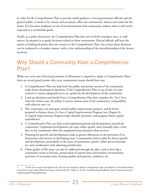In order for the Comprehensive Plan to provide useful guidance to local government officials and the general public, it needs to be current and accurately reflect the community's history and vision for the future. If it becomes outdated, or out of synchronization with community realities, then it will not be respected as a worthwhile guide.

Finally, as a policy document, the Comprehensive Plan does not set forth mandates, laws, or ordinances. Its purpose is to guide decisions related to those instruments. Elected officials still have the option of making decisions that run counter to the Comprehensive Plan, but at least those decisions can be evaluated in a broader context, with a clear understanding of the interrelationship of the factors involved.

## **Why Should a Community Have a Comprehensive Plan?**

While not every unit of local government in Minnesota is required to adopt a Comprehensive Plan,<sup>3</sup> there are several good reasons why every community/county should have one:

- 1. A Comprehensive Plan can help both the public and private sectors of the community make better development decisions. If the Comprehensive Plan is out of date (or nonexistent) it cannot adequately serve as a guide for the development of the community.
- 2. Land use decisions can benefit from a Comprehensive Plan that considers the "best" locations for various uses, the ability to service various areas of the community, compatibility with adjacent uses, etc.
- 3. The community can anticipate needed public improvement projects, and be better prepared to finance them, if it has a Capital Improvements Program (see Chapter 6). A Capital Improvements Program helps identify, prioritize, and program future capital expenditures.
- 4. A Comprehensive Plan can help avoid unplanned growth and development around the community. Unplanned development can cause urban sprawl, and eventually place a burden on the community when the unplanned areas demand urban services.
- 5. Planning for growth and development leads to greater efficiencies in the provision of infrastructure and services to developing areas. Communities need to plan for future growth and development, particularly in the arena of annexation, sprawl, urban service boundaries, and coordination with adjoining jurisdictions.
- 6. Other quality of life issues can also be addressed through the plan, such as how big a community wants to become, preservation of natural areas and sensitive environments, provision of recreation areas, housing quality and quantity, aesthetics, etc.

<sup>3</sup> In the seven county metropolitan area, all cities are required to adopt a comprehensive plan and submit it to the Metropolitan Council for review under Minnesota Statutes Section 462.355, Subd. 1a. See the Local Planning Handbook, http://www.metrocouncil. org/planning/LPH/handbook.htm.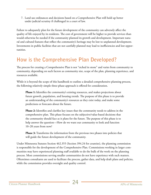7. Land use ordinances and decisions based on a Comprehensive Plan will hold up better under judicial scrutiny if challenged in a court of law.

Failure to adequately plan for the future development of the community can adversely affect the quality of life enjoyed by its residents. The cost of government will be higher to provide services than would otherwise be needed if the community planned its growth and development. Important natural and cultural features that reflect the community's heritage may be lost to unplanned development. Investments in public facilities that are not carefully planned may lead to inefficiencies and lost opportunities.

### **How is the Comprehensive Plan Developed?**

The process for creating a Comprehensive Plan is not "etched in stone" and varies from community to community, depending on such factors as community size, scope of the plan, planning experience, and resources available.

While it is beyond the scope of this handbook to outline a detailed comprehensive planning process, the following relatively simple three-phase approach is offered for consideration.

**Phase 1:** Identifies the community's existing resources, and makes projections about future growth, population, and housing trends. The purpose of this phase is to provide an understanding of the community's resources as they exist today, and make some predictions or forecasts about the future.

**Phase 2:** Identifies and clarifies key issues that the community needs to address in the comprehensive plan. This phase focuses on the subjective/value-based decisions that the community should face as it plans for the future. The purpose of this phase is to help answer the question—How do we want our community to look and function 10–20 years from now?

**Phase 3:** Transforms the information from the previous two phases into policies that will guide the future development of the community.

Under Minnesota Statutes Section 462.355 (Section 394.24 for counties), the planning commission is responsible for the development of the Comprehensive Plan. Commissions working in larger communities may have experienced planning staff available to do the bulk of the work on the planning process. Most commissions serving smaller communities do not have experience with such matters. Oftentimes consultants are used to facilitate the process, gather data, and help draft plans and policies, while the commission provides oversight and quality control.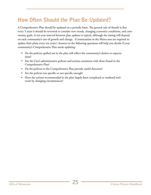## **How Often Should the Plan Be Updated?**

A Comprehensive Plan should be updated on a periodic basis. The general rule of thumb is that every 5 years it should be reviewed to consider new trends, changing economic conditions, and community goals. A ten-year interval between plan updates is typical, although the timing will depend on each community's rate of growth and change. (Communities in the Metro area are required to update their plans every ten years.) Answers to the following questions will help you decide if your community's Comprehensive Plan needs updating:

- Do the policies spelled out in the plan still reflect the community's desires or expectations?
- Are the City's administrative policies and actions consistent with those found in the Comprehensive Plan?
- Do the policies in the Comprehensive Plan provide useful direction?
- Are the policies too specific or not specific enough?
- Have the actions recommended in the plan largely been completed or rendered irrelevant by changing circumstances?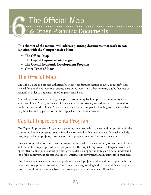# **The Official Map<br>
& Other Planning Documents**

**This chapter of the manual will address planning documents that work in conjunction with the Comprehensice Plan:** 

- **• The Official Map**
- **• The Capital Improvements Program**
- **• The Overall Economic Development Program**
- **• Other Types of Plans**

## **The Official Map**

The Official Map is a process authorized by Minnesota Statutes Section 462.352 to identify land needed for a public purpose (i.e., streets, aviation purposes, and other necessary public facilities or services) in order to implement the Comprehensive Plan.

After adoption of a major thoroughfare plan or community facilities plan, the community may adopt an Official Map by ordinance. Once an area that is privately owned has been delineated for a public purpose on the Official Map, the city is not required to pay for buildings or structures that may be subsequently placed within the mapped areas without a permit.

## **Capital Improvements Program**

The Capital Improvements Program is a planning document which defines and sets priorities for the community's capital projects, usually for a five-year period with annual updates. It usually includes text, maps, tables of projects, costs by year, and a proposed method for project financing.

This plan is intended to ensure that improvements are made to the community on an equitable basis and that utility projects precede street projects, etc. The Capital Improvements Program may be adopted after holding public hearings which give residents an opportunity to gain a better understanding of the improvement process and time to anticipate improvements and investments in their area.

The plan is not a final commitment to projects, and each project requires additional approval by the governing body prior to proceeding. The plan assists the governing body in determining what projects to commit to on an annual basis and also prepare bonding documents if needed.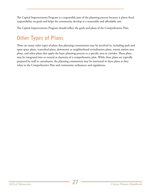The Capital Improvements Program is a responsible part of the planning process because it places fiscal responsibility on goals and helps the community develop at a reasonable and affordable rate.

The Capital Improvements Program should reflect the goals and plans of the Comprehensive Plan.

## **Other Types of Plans**

There are many other types of plans that planning commissions may be involved in, including park and open space plans, watershed plans, downtown or neighborhood revitalization plans, transit station area plans, and other plans that apply the basic planning process to a specific area or corridor. These plans may be integrated into or treated as elements of a comprehensive plan. While these plans are typically prepared by staff or consultants, the planning commission may be interested in these plans as they relate to the Comprehensive Plan and community ordinances and regulations.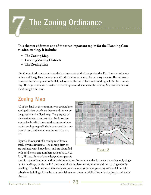## **The Zoning Ordinance**

**This chapter addresses one of the most important topics for the Planning Commission: zoning. It includes:**

- **• The Zoning Map**
- **• Creating Zoning Districts**
- **• The Zoning Text**

The Zoning Ordinance translates the land use goals of the Comprehensive Plan into an ordinance or law which regulates the way in which the land may be used by property owners. The ordinance regulates the development of individual lots and the use of land and buildings within the community. The regulations are contained in two important documents: the Zoning Map and the text of the Zoning Ordinance.

## **Zoning Map**

All of the land in the community is divided into zoning districts which are drawn and shown on the jurisdiction's official map. The purpose of the districts are to outline what land uses are acceptable in which areas of the community. A typical zoning map will designate areas for commercial uses, residential uses, industrial uses, etc.

Figure 2 shows part of a zoning map from a small city in Minnesota. The zoning districts are outlined with heavy lines, and are identified with bold letters and numbers such as R-1, R-2, B-1, PU, etc. Each of these designations permit



**Figure 2**

specific types of land uses within their boundaries. For example, the R-1 areas may allow only single family dwellings, while the R-2 areas may allow duplexes or triplexes in addition to single family dwellings. The B-1 area may allow only commercial uses, or only upper-story residential units in mixed-use buildings. Likewise, commercial uses are often prohibited from developing in residential districts.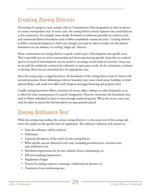## **Creating Zoning Districts**

The zoning of a property must comply with its Comprehensive Plan designation in cities in the seven-county metropolitan area. In many cases, the zoning districts closely represent the actual land use in the community. For example, areas already developed as residential generally are zoned as such, and commercial district boundaries tend to follow established commercial areas. Creating districts to follow existing development is fairly easy, though care must be taken to make sure that district boundaries are not arbitrary or creating "single use" districts.

Many communities use zoning districts to guide certain types of development into specific areas. This is especially true in newer communities and those experiencing growth. Areas that are undeveloped or in need of redevelopment may be zoned to encourage certain land use activities. Areas may be set aside for residential, commercial, industrial, or open space needs. As the community continues to develop, those uses are channeled into the appropriate zone.

Since the zoning map is a legal document, the boundaries of the zoning district must be drawn with care and precision. Errors delineating a district boundary may cause a land owner hardship or development delays, and could even affect such things as mortgage financing and property taxes.

Usually zoning boundaries follow centerlines of streets, alleys, railways, or other landmarks, so as to allow for easier interpretation of a parcel's designation. However, sometimes the boundaries may need to follow individual lot lines or cross through unplatted parcels. When this occurs, extra care must be taken to ensure that the boundaries are appropriately placed.

## **Zoning Ordinance Text**

While the zoning map outlines the various zoning districts, it is the actual text of the zoning ordinance that spells out the specific land use regulations. The ordinance addresses such matters as:

- How the ordinance will be enforced
- Definitions
- A general description of the intent of each zoning district
- What specific uses are allowed in each zone, including permitted uses, restricted uses, and conditional uses
- Minimum requirements for lot size, setbacks, fences, landscaping, etc.
- Off-street parking requirements
- Regulations of signs
- Process for seeking variances, rezonings, conditional use permits, etc.
- Treatment of non-conforming uses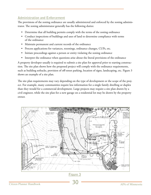#### **Administration and Enforcement**

The provisions of the zoning ordinance are usually administered and enforced by the zoning administrator. The zoning administrator generally has the following duties:

- Determine that all building permits comply with the terms of the zoning ordinance
- Conduct inspections of buildings and uses of land to determine compliance with terms of the ordinance
- Maintain permanent and current records of the ordinance
- Process applications for variances, rezonings, ordinance changes, CUPs, etc.
- Initiate proceedings against a person or entity violating the zoning ordinance
- Interpret the ordinance when questions arise about the literal provisions of the ordinance

A property developer usually is required to submit a site plan for approval prior to starting construction. The site plan shows how the proposed project will comply with the ordinance requirements, such as building setbacks, provision of off-street parking, location of signs, landscaping, etc. Figure 3 shows an example of a site plan.

The site plan requirements may vary depending on the type of development or the scope of the project. For example, many communities require less information for a single family dwelling or duplex than they would for a commercial development. Large projects may require a site plan drawn by a civil engineer, while the site plan for a new garage on a residential lot may be drawn by the property owner.

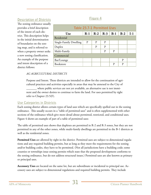#### **Description of Districts**

The zoning ordinance usually provides a brief description of the intent of each district. This description helps in the initial determination of boundaries on the zoning map, and is referred to when a property owner seeks a new zoning classification. An example of the purpose and intent description of a district follows:

| Table 23.7-1 Permitted Uses |       |       |       |       |       |       |  |  |
|-----------------------------|-------|-------|-------|-------|-------|-------|--|--|
| <b>Use</b>                  | $R-1$ | $R-2$ | $R-3$ | $B-1$ | $B-2$ | $I-1$ |  |  |
| Residential                 |       |       |       |       |       |       |  |  |
| Single-Family Dwelling      | P     | P     | P     |       |       |       |  |  |
| Duplex                      |       | P     | P     |       |       |       |  |  |
| Multi-Family                |       |       | P     | P     |       |       |  |  |
| Commercial                  |       |       |       |       |       |       |  |  |
| Bar/Lounge                  |       |       |       |       | P     |       |  |  |
| Bookstore                   |       |       |       | P     | P     |       |  |  |

#### **Figure 4**

#### *AG AGRICULTURAL DISTRICTS*

Purpose and Intent. These districts are intended to allow for the continuation of agricultural practices and activities especially in areas that may be annexed to the City of

\_\_\_\_\_\_\_ where public services are not yet available, an alternative use is not imminent and the owner desires to continue to farm the land. For uses permitted by right refer to Chapter 23.5(F).

#### **Use Categories in Districts**

Each zoning district allows certain types of land uses which are specifically spelled out in the zoning ordinance. This usually occurs in a "table of permitted uses" and is often supplemented with other sections of the ordinance which give more detail about permitted, restricted, and conditional uses. Figure 4 shows an example of part of a table of permitted uses:

The table of permitted uses shows that duplexes are permitted in R-2 and R-3 zones, but they are not permitted in any of the other zones, while multi-family dwellings are permitted in the B-1 districts as well as the residential zones.

**Permitted Uses** are allowed by right in the district. Permitted uses are subject to dimensional regulations and any required building permits, but as long as they meet the requirements for the zoning and/or building codes, they have to be permitted. (Not all jurisdictions have a building code; some counties or townships issue zoning permits which state that the proposed development conforms to the zoning ordinance, but do not address structural issues.) Permitted uses are also known as primary or principal uses.

**Accessory Uses** are located on the same lot, but are subordinate or incidental to principal use. Accessory uses are subject to dimensional regulations and required building permits. They include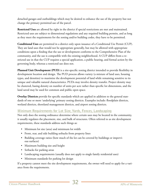detached garages and outbuildings which may be desired to enhance the use of the property but not change the primary permitted use of the parcel.

**Restricted Uses** are allowed by right in the district if special restrictions are met and maintained. Restricted uses are subject to dimensional regulations and any required building permits, and as long as they meet the requirements for the zoning and/or building codes, they have to be permitted.

**Conditional Uses** are permitted in a district only upon issuance of a Conditional Use Permit (CUP). They are land uses that would not be appropriate generally, but may be allowed with appropriate conditions upon a finding that the use or development conforms to the Comprehensive Plan of the community, and the use is compatible with the existing neighborhood. A CUP differs from a restricted use in that the CUP requires a special application, a public hearing, and formal action by the governing body, whereas a restricted use does not.

Planned Unit Development (PUD) is a site-specific zoning district intended to provide flexibility in development location and design. The PUD process allows variety (a mixture of land uses, housing types, and densities) to maximize the development potential of land while remaining sensitive to its unique and valuable natural characteristics. PUDs may involve density transfer. Project density may be clustered, basing density on number of units per acre rather than specific lot dimensions, and the land saved may be used for common and public open space.

**Overlay Districts** provide for specific standards which are applied in addition to the general standards of one or more 'underlying' primary zoning districts. Examples include: floodplain districts, wetland districts, shoreland management districts, and airport zoning districts.

#### **Minimum Requirements for Lot Size, Yards, Fences, Landscaping**

Not only does the zoning ordinance determine where certain uses may be located in the community, it usually regulates the placement, size, and bulk of structures. Often referred to as site development requirements, these standards address such things as:

- Minimum lot size (area) and minimum lot width
- Front, rear, and side building setbacks from property lines
- Building coverage ratios (how much of the lot can be covered by buildings or impervious surfaces)
- Maximum building size and height
- Setbacks for parking areas
- Landscaping requirements (usually does not apply to single family residential uses)
- Minimum standards for parking lot design

If a property cannot meet the site development requirements, the owner will need to apply for a variance from the requirements.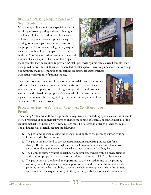#### **Off-Street Parking Requirements and Sign Regulations**

Most zoning ordinances include special sections for requiring off-street parking and regulating signs. The intent of off-street parking requirements is to insure that property owners provide adequate parking for tenants, patrons, and occupants of the property. The ordinance will generally require a specific number of parking spaces based on the land use. A formula is used to determine the actual number of stalls required. For example, an apart-



ment complex may be required to provide 1.5 stalls per dwelling unit, while a retail complex may be required to provide 1 stall per 250 square feet of retail space. There are guidebooks that can help a community make determinations on parking requirements, supplemented with actual observations of parking lot use.

Sign regulations are often one of the most controversial parts of the zoning ordinance. These regulations often address the size and location of signs, whether or not temporary or portable signs are permitted, and how many signs can be displayed on a property. As a general rule, ordinances cannot regulate the content (the message) of signs without running afoul of First Amendment (free speech) issues.



#### **Process for Seeking Variances, Rezonings, Conditional Use Permits**

The Zoning Ordinance outlines the procedural requirements for seeking special considerations to its literal provisions. If an individual wants to change the zoning of a parcel, or cannot meet all of the required setbacks, or needs a CUP, certain steps must be followed in order to process the request. The ordinance will generally require the following:

- 1. The petitioner (person seeking the change) must apply to the planning authority using forms provided by the authority.
- 2. The petitioner may need to provide documentation supporting the request for a change. The documentation might include such items as a survey or site plan, a written description of why the request is needed, an impact study, and a filing fee.
- 3. The planning authority notifies neighbors and property owners within a given distance of the subject property that a request for variance, rezoning, or CUP has been made.
- 4. The petitioner will be allowed an opportunity to present his/her case to the planning authority, as will neighbors who may support or oppose the request. In some cases, the planning authority has the ability to make the decision to approve or deny the request, and sometimes the request must go to the governing body for ultimate determination.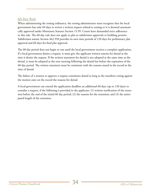#### **60-Day Rule**

When administering the zoning ordinance, the zoning administrator must recognize that the local government has only 60 days to review a written request related to zoning or it is deemed automatically approved under Minnesota Statutes Section 15.99. Courts have demanded strict adherence to this rule. The 60-day rule does not apply to plat or subdivision approvals or building permits. Subdivision statute Section 462.358 provides its own time periods of 120 days for preliminary plat approval and 60 days for final plat approval.

The 60-day period does not begin to run until the local government receives a complete application. If a local government denies a request, it must give the applicant written reasons for denial at the time it denies the request. If the written statement for denial is not adopted at the same time as the denial, it must be adopted at the next meeting following the denial but before the expiration of the 60-day period. The written statement must be consistent with the reasons stated in the record at the time of denial.

The failure of a motion to approve a request constitutes denial so long as the members voting against the motion state on the record the reasons for denial.

A local government can extend the application deadline an additional 60 days (up to 120 days) to consider a request, if the following is provided to the applicant: (1) written notification of the extension before the end of the initial 60 day period; (2) the reasons for the extension; and (3) the anticipated length of the extension.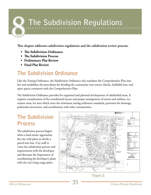## **The Subdivision Regulations**

**This chapter addresses subdivision regulations and the subdivision review process:** 

- **• The Subdivision Ordinance**
- **• The Subdivision Process**
- **• Preliminary Plat Review**
- **• Final Plat Review**

## **The Subdivision Ordinance**

Like the Zoning Ordinance, the Subdivision Ordinance also translates the Comprehensive Plan into law and establishes the procedures for dividing the community into streets, blocks, buildable lots, and open spaces consistent with the Comprehensive Plan.

The Subdivision Ordinance provides for organized and planned development of subdivided areas. It requires consideration of the coordinated layout and proper arrangement of streets and utilities, recreation areas, lot sizes which meet the minimum zoning ordinance standards, provision for drainage, pedestrian movement, and coordination with other communities.

## **The Subdivision Process**

The subdivision process begins when a land owner approaches the city with plans to divide a parcel into lots. City staff reviews the subdivision process and requirements with the developer, and discusses the importance of coordinating the developer's plans with the city's long range plans.



**Figure 5**

APA of Minnesota **35** Citizen Planner Handbook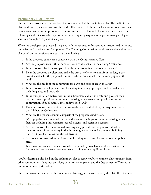#### **Preliminary Plat Review**

The next step involves the preparation of a document called the preliminary plat. The preliminary plat is a detailed plan showing how the land will be divided. It shows the location of streets and easements, water and sewer improvements, the size and shape of lots and blocks, open space, etc. The following checklist shows the types of information typically required on a preliminary plat. Figure 5 shows an example of a preliminary plat.

When the developer has prepared the plans with the required information, it is submitted to the city for review and consideration for approval. The Planning Commission should review the preliminary plat based on the considerations such as the following:

- 1. Is the proposed subdivision consistent with the Comprehensive Plan?
- 2. Are the proposed uses within the subdivision consistent with the Zoning Ordinance?
- 5. Is the proposed land use compatible with the surrounding land uses in the area?
- 4. Does the proposed development make the best use of views to and from the lots, is the layout suitable for the proposed use, and is the layout suitable for the topography of the land?
- 5. What are the needs of the community for parks and open space in the area?
- 6. Is the proposed development complementary to existing open space and natural areas, including lakes and wetlands?
- 7. Is the transportation system within the subdivision laid out in a safe and pleasant manner, and does it provide connections to existing public streets and provide for future continuation of public streets into undeveloped land?
- 8. Does the proposed subdivision conform to the street and block layout requirements of the Subdivision Ordinance?
- 9. What are the general economic impacts of the proposed subdivision?
- 10. What population changes will occur, and what are the impacts upon the existing public facilities including thoroughfares, school systems, and recreation services?
- 11. Are the proposed lots large enough to adequately provide for the proposed development, or might it be necessary in the future to grant variances for proposed buildings, due to lot peculiarities within the subdivision?
- 12. Are easements provided for all future public utility needs, and for access to other public areas?
- 13. Is an environmental assessment worksheet required by state law, and if so, what are the findings and are adequate measures taken to mitigate any significant issues?

A public hearing is also held on the preliminary plat to receive public comment plus comment from other communities, if appropriate, along with utility companies and the Department of Transportation or other road jurisdiction.

The Commission may approve the preliminary plat, suggest changes, or deny the plat. The Commis-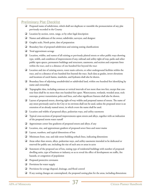#### **Preliminary Plat Checklist**

- $\Box$  Proposed name of subdivision, which shall not duplicate or resemble the pronunciation of any plat previously recorded in the County
- Location by section, town, range, or by other legal description
- Names and addresses of the owner, subdivider, surveyor, and designer
- Graphic scale, North point, date of preparation
- Boundary line of proposed subdivision and existing zoning classifications
- $\Box$  Total approximate acreage
- Location, widths, and names of all existing or previously platted streets or other public ways showing type, width, and condition of improvements if any, railroad and utility right-of-way, parks and other public open spaces, permanent buildings and structures, easements, and section and corporate lines within the tract, and to a distance of one hundred feet beyond the tract
- Location and size of existing sewers, water main culverts, or other underground facilities within the tract, and to a distance of one hundred feet beyond the tract. Such data as grades, invert elevations and locations of catch basins, manholes, and hydrants shall also be shown.
- Boundary lines of adjoining unsubdivided or subdivided land, within one hundred feet identifying by name and ownership
- Topographic data, including contours at vertical intervals of not more than two feet, except that contour lines shall be no more than one hundred feet apart. Watercourses, wetlands, wooded areas, rock outcrops, power transmission poles and lines, and other significant features shall also be shown.
- Layout of proposed streets, showing right-of-way widths and proposed names of streets. The name of any street previously used in the City or its environs shall not be used, unless the proposed street is an extension of an already named street, in which event the name shall be used.
- Location and widths of proposed alleys, pedestrian ways, and utility easements
- Typical cross-sections of proposed improvements upon streets and alleys, together with an indication of the proposed storm water runoff
- $\Box$  Approximate center line gradients of proposed streets and alleys, if any
- Location, size, and approximate gradient of proposed sewer lines and water mains
- $\Box$  Layout, numbers, and typical dimensions of lots
- Minimum front, rear, and side-street building setback lines, indicating dimensions
- Areas other than streets, alleys, pedestrian ways, and utility easements intended to be dedicated or reserved for public use, including the size of such area or areas in acres
- Statement of the proposed use of lots, stating type of residential buildings with number of proposed dwelling units, type of business or industry, so as to reveal the effect of development on traffic, fire hazards, or congestion of population
- **Q** Proposed protective covenants
- $\Box$  Provisions for water supply
- $\Box$  Provisions for sewage disposal, drainage, and flood control
- $\Box$  If any zoning changes are contemplated, the proposed zoning plan for the areas, including dimensions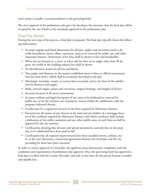sion's action is usually a recommendation to the governing body.

The city's approval of the preliminary plat gives the developer the assurance that the final plat will be accepted by the city if built to the standards approved in the preliminary plat.

#### **Final Plat Review**

During the next step of the process, a final plat is prepared. The final plat typically shows the following information:

- Accurate angular and lineal dimensions for all lines, angles, and curvatures used to describe boundaries, streets, alleys, easements, areas to be reserved for public use, and other important features. Dimensions of lot lines shall be shown in feet and hundredths.
- When lots are located on a curve, or when side lot lines are at angles other than 90 degrees, the width of the building setback line shall be shown.
- An identification system for all lots and blocks.
- True angles and distances to the nearest established street in lines or official monuments (not less than three), which shall be accurately described in the plat.
- Municipal, township, county, or section lines accurately tied to the lines of the subdivision by distances and angles.
- Radii, internal angles, points and curvatures, tangent bearings, and lengths of all arcs.
- • Accurate location of all survey monuments.
- Accurate outlines and legal description of any areas to be dedicated or reserved for public use, or for the exclusive use of property owners within the subdivision, with the purposes indicated therein.
- Certification by a registered surveyor in the form required by Minnesota Statutes.
- Execution by all owners of any interest in the land and any holders of a mortgage thereon of the certificate required by Minnesota Statutes, and which certificate shall include a dedication of the utility easements and any other public areas, in such form as shall be approved by the city attorney.
- Certifications showing that all taxes and special assessments currently due on the property to be subdivided have been paid in full.
- • Certification that all required improvements have been installed (streets, utilities, etc) or, at the city's discretion, contractual agreements between the developer and the city providing for these have been executed.

In order to receive approval of a final plat, the applicant must demonstrate compliance with the conditions and requirements of preliminary plat approval. Once the governing body has approved a final plat it is filed with the County Recorder, and only at that time do the parcels become recorded and saleable lots.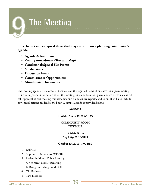## **The Meeting**

**This chapter covers typical items that may come up on a planning commission's agenda:**

- **• Agenda Action Items**
- **• Zoning Amendment (Text and Map)**
- **• Conditional/Special Use Permit**
- **• Subdivisions**
- **• Discussion Items**
- **• Commissioner Opportunities**
- **• Minutes and Documents**

The meeting agenda is the order of business and the required items of business for a given meeting. It includes general information about the meeting time and location, plus standard items such as roll call, approval of past meeting minutes, new and old business, reports, and so on. It will also include any special actions needed by the body. A sample agenda is provided below:

#### **AGENDA**

#### **PLANNING COMMISSION**

#### **COMMUNITY ROOM CITY HALL**

#### **12 Main Street Any City, MN 54000**

#### **October 13, 2010, 7:00 P.M.**

- 1. Roll Call
- 2. Approval of Minutes of 9/15/10
- 3. Review Petitions / Public Hearings
	- A. 5th Street Market Rezoning
	- B. Byingtime Salvage Yard CUP
- 4. Old Business
- 5. New Business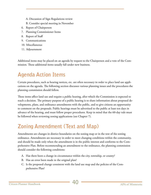- A. Discussion of Sign Regulations review
- B. Consider special meeting in November
- 6. Report of Chairperson
- 7. Planning Commissioner Items
- 8. Report of Staff
- 9. Communications
- 10. Miscellaneous
- 11. Adjournment

Additional items may be placed on an agenda by request to the Chairperson and a vote of the Commission. These additional items usually fall under new business.

## **Agenda Action Items**

Certain procedures, such as hearing notices, etc. are often necessary in order to place land use applications on the agenda. The following section discusses various planning issues and the procedures the planning commission should follow.

These items affect land use and require a public hearing, after which the Commission is expected to reach a decision. The primary purpose of a public hearing is to share information about proposed developments, plans, and ordinance amendments with the public, and to give citizens an opportunity to comment on the proposals. Public hearings must be advertised to the public at least ten days in advance of the hearing, and must follow proper procedures. Keep in mind that the 60-day rule must be followed when reviewing zoning applications (see Chapter 7).

## **Zoning Amendment (Text and Map)**

Amendments are changes in district boundaries on the zoning map or in the text of the zoning ordinance. Amendments are necessary in order to meet changing conditions within the community, and should be made only when the amendment is in the public interest and conforms to the Comprehensive Plan. Before recommending an amendment to the ordinance, the planning commission should consider the following conditions:

- A. Has there been a change in circumstance within the city, township, or county?
- B. Has an error been made in the original plan?
- C. Is the proposed change consistent with the land use map and the policies of the Comprehensive Plan?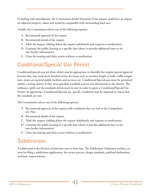In dealing with amendments, the Commission should determine if the request could have an impact on adjacent property values and would be compatible with surrounding land uses.

Usually, the Commission selects one of the following options:

- A. Recommend approval of the request
- B. Recommend denial of the request
- C. Table the request (tabling delays the request indefinitely and requires re-notification)
- D. Continue the public hearing to a specific date (done to provide additional time to obtain further information)
- E. Close the hearing and delay action without re-notification.

## **Conditional/Special Use Permit**

Conditional/special uses are those which may be appropriate or desirable but require special approval because they may need more detailed review for issues such as excessive height or bulk, traffic congestion, strain on essential public facilities and services, etc. Conditional/Special uses must be permitted within a zoning district if they meet specified standards and are not detrimental to the district. The ordinance spells out the standards which must be met in order to grant a Conditional/Special Use Permit. In approving a Conditional/Special use, specific conditions may be imposed to ensure that the standards are met.

The Commission selects one of the following options:

- A. Recommend approval of the request with conditions that are tied to the Comprehensive Plan
- B. Recommend denial of the request
- C. Table the request (tabling delays the request indefinitely and requires re-notification)
- D. Continue the public hearing to a specific date (done to provide additional time to obtain further information)
- E. Close the hearing and delay action without re-notification

## **Subdivisions**

A subdivision is the division of land into two or more lots. The Subdivision Ordinance outlines criteria for filing a subdivision application, the review process, design standards, parkland dedications, and basic improvements.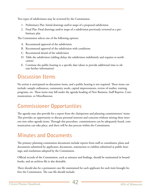Two types of subdivisions may be reviewed by the Commission.

- 1. Preliminary Plat: Initial drawings and/or maps of a proposed subdivision
- 2. Final Plat: Final drawings and/or maps of a subdivision previously reviewed as a preliminary plat

The Commission selects one of the following options:

- A. Recommend approval of the subdivision
- B. Recommend approval of the subdivision with conditions
- C. Recommend denial of the subdivision
- D. Table the subdivision (tabling delays the subdivision indefinitely and requires re-notification)
- E. Continue the public hearing to a specific date (done to provide additional time to obtain further information)

## **Discussion Items**

No action is anticipated on discussion items, and a public hearing is not required. These items can include: sample ordinances, community needs, capital improvements, review of studies, training programs, etc. These items may fall under the agenda heading of New Business, Staff Reports, Communications, or Miscellaneous.

## **Commissioner Opportunities**

The agenda may also provide for a report from the chairperson and planning commissioners' items. This provides an opportunity to discuss personal interests and concerns without mixing these interests into other agenda items. Through this procedure, commissioners can be adequately heard, communication can take place, and there will be due process within the Commission.

### **Minutes and Documents**

The primary planning commission documents include reports from staff or consultants; plans and documents submitted by applicants; documents, statementss or exhibits submitted at public hearings; and resolutions adopted by the Commission.

Official records of the Commission, such as minutes and findings, should be maintained in bound books, and an archives file is also desirable.

There should also be a permanent case file maintained for each applicant for each item brought before the Commission. The case file should include: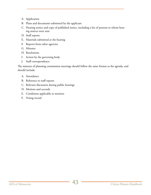- A. Application
- B. Plans and documents submitted by the applicant
- C. Hearing notice and copy of published notice, including a list of persons to whom hearing notices were sent
- D. Staff reports
- E. Materials submitted at the hearing
- F. Reports from other agencies
- G. Minutes
- H. Resolutions
- I. Action by the governing body
- J. Staff correspondence

The minutes of planning commission meetings should follow the same format as the agenda, and should include:

- A. Attendance
- B. Reference to staff reports
- C. Relevant discussion during public hearings
- D. Motions and seconds
- E. Conditions applicable to motions
- F. Voting record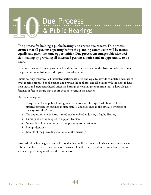# Due Process **& Public Hearings**

**The purpose for holding a public hearing is to ensure due process. Due process ensures that all persons appearing before the planning commission will be treated equally and given the same opportunities. Due process encourages objective decision-making by providing all interested persons a notice and an opportunity to be heard.**

Land use issues are frequently contested, and the outcome is often decided based on whether or not the planning commission provided participants due process.

Public hearings must treat all interested participants fairly and equally, provide complete disclosure of what is being proposed to all parties, and provide the applicant and all citizens with the right to have their views and arguments heard. After the hearing, the planning commission must adopt adequate findings of fact to ensure that a court does not overturn the decision.

Due process requires:

- 1. Adequate notice of public hearings sent to persons within a specified distance of the affected property (as outlined in state statute) and published in the official newspaper of the city/township/county
- 2. The opportunity to be heard see Guidelines for Conducting a Public Hearing
- 3. Findings of fact be adopted to support decision
- 4. No conflict of interest on the part of planning commissioners
- 5. Prompt decisions
- 6. Records of the proceedings (minutes of the meeting)

Provided below is a suggested guide for conducting public hearings. Following a procedure such as this one can help to make hearings more manageable and ensure that those in attendance have an adequate opportunity to address the commission.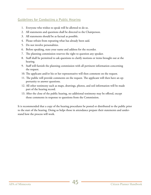#### **Guidelines for Conducting a Public Hearing**

- 1. Everyone who wishes to speak will be allowed to do so.
- 2. All statements and questions shall be directed to the Chairperson.
- 3. All statements should be as factual as possible.
- 4. Please refrain from repeating what has already been said.
- 5. Do not involve personalities.
- 6. Before speaking, state your name and address for the recorder.
- 7. The planning commission reserves the right to question any speaker.
- 8. Staff shall be permitted to ask questions to clarify motions or items brought out at the hearing.
- 9. Staff will furnish the planning commission with all pertinent information concerning the request.
- 10. The applicant and/or his or her representative will then comment on the request.
- 11. The public will provide comments on the request. The applicant will then have an opportunity to answer questions.
- 12. All other testimony such as maps, drawings, photos, and soil information will be made part of the hearing record.
- 13. After the close of the public hearing, no additional testimony may be offered, except those comments in response to questions from the Commission.

It is recommended that a copy of the hearing procedures be posted or distributed to the public prior to the start of the hearing. Doing so helps those in attendance prepare their statements and understand how the process will work.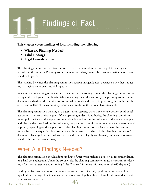# **Findings of Fact**

**This chapter covers findings of fact, including the following:** 

- **• When are Findings Needed?**
- **• Valid Findings**
- **• Legal Considerations**

The planning commission's decisions must be based on facts submitted at the public hearing and recorded in the minutes. Planning commissioners must always remember that any matter before them could be litigated.

The standard by which the planning commission reviews an agenda item depends on whether it is acting in a legislative or quasi-judicial capacity.

When reviewing a zoning ordinance text amendment or rezoning request, the planning commission is acting under its legislative authority. When operating under this authority, the planning commission's decision is judged on whether it is constitutional, rational, and related to protecting the public health, safety, and welfare of the community. Courts refer to this as the rational-basis standard.

The planning commission is acting in a quasi-judicial capacity when it reviews a variance, conditional use permit, or other similar request. When operating under this authority, the planning commission must apply the facts of the request to the applicable standards in the ordinance. If the request complies with the standards set forth in the ordinance, the planning commission must approve it or recommend approval, depending on the application. If the planning commission denies a request, the reasons must relate to the request's failure to comply with ordinance standards. If the planning commission's decision is challenged, a court will consider whether it cited legally and factually sufficient reasons or whether the decision was arbitrary.

## **When Are Findings Needed?**

The planning commission should adopt Findings of Fact when making a decision or recommendation on a land use application. Under the 60-day rule, the planning commission must cite reasons for denying a "written request related to zoning." (See Chapter 7 for more information on the 60-day rule.)

Findings of fact enable a court to sustain a zoning decision. Generally speaking, a decision will be upheld if the findings of fact demonstrate a rational and legally sufficient basis for decision that is not arbitrary and capricious.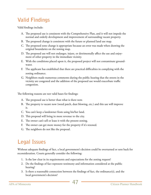## **Valid Findings**

Valid findings include:

- A. The proposed use is consistent with the Comprehensive Plan, and it will not impede the normal and orderly development and improvement of surrounding vacant property.
- B. The proposed change is consistent with the future or planned land use map.
- C. The proposed zone change is appropriate because an error was made when drawing the original boundaries on the zoning map.
- D. The proposed use will not endanger, injure, or detrimentally affect the use and enjoyment of other property in the immediate vicinity.
- E. With the conditions placed upon it, the proposed project will not contaminate groundwater.
- F. The applicant has established that there are practical difficulties in complying with the zoning ordinance.
- G. Neighbors made numerous comments during the public hearing that the streets in the vicinity are congested and the addition of the proposed use would exacerbate traffic congestion.

The following reasons are not valid bases for findings:

- A. The proposed use is better than what is there now.
- B. The property is vacant now (weed patch, dust blowing, etc.) and this use will improve it.
- C. You can't keep a landowner from using his/her land.
- D. This proposal will bring in more revenue to the city.
- E. The owner can't sell or lease it with the present zoning.
- F. The owner can get more money for the property if it's rezoned.
- G. The neighbors do not like the proposal.

## **Legal Issues**

Without adequate findings of fact, a local government's decision could be overturned or sent back for reconsideration. Courts generally consider the following:

- 1. Is the law clear in its requirements and expectations for the zoning request?
- 2. Do the findings of fact represent testimony and information considered at the public hearing?
- 3. Is there a reasonable connection between the findings of fact, the ordinance(s), and the local government's decision?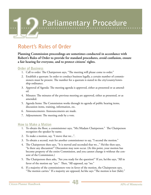

## **Robert's Rules of Order**

**Planning Commission proceedings are sometimes conducted in accordance with Robert's Rules of Order to provide for standard procedures, avoid confusion, ensure a fair hearing for everyone, and to protect citizens' rights.**

#### **Order of Business**

- 1. Call to order: The Chairperson says, "The meeting will please come to order."
- 2. Establish a quorum: In order to conduct business legally, a certain number of commissioners must be present. The number for a quorum is stated in the city/county/township ordinance.
- 3. Approval of Agenda: The meeting agenda is approved, either as presented or as amended.
- 4. Minutes: The minutes of the previous meeting are approved, either as presented, or as amended.
- 5. Agenda Items: The Commission works through its agenda of public hearing items, discussion items, training, information, etc.
- 6. Announcements: Announcements are made.
- 7. Adjournment: The meeting ends by a vote.

#### **How to Make a Motion**

- 1. To obtain the floor, a commissioner says, "Mr./Madam Chairperson." The Chairperson recognizes the speaker by name.
- 2. To make a motion, say, "I move that we...".
- 3. To obtain a second, wait for another commissioner to say, "I second the motion."
- 4. The Chairperson then says, "It is moved and seconded that we..." He/she then says, "Is there any discussion?" Discussion may now occur. (At this point, your motion has become property of the entire Commission, and you cannot change it without the consent of the Commission.)
- 5. The Chairperson then asks, "Are you ready for the question?" If yes, he/she says, "All in favor of the motion say "aye." Then, "All opposed, say "no."
- 6. If a majority of the commissioners vote in favor of the motion, the Chairperson says, "The motion carries." If a majority are opposed, he/she says "The motion is lost (fails)."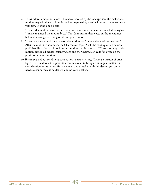- 7. To withdraw a motion: Before it has been repeated by the Chairperson, the maker of a motion may withdraw it. After it has been repeated by the Chairperson, the maker may withdraw it, if no one objects. motion may withdraw it. After it has been repeated by the Chairperson, the maker may withdraw it, if no one objects.
	- 8. To amend a motion before a vote has been taken, a motion may be amended by saying, "I move to amend the motion by…" The Commission then votes on the amendment before discussing and voting on the original motion.
	- 9. To end debate and call for a vote on the motion say, "I move the previous question." After the motion is seconded, the Chairperson says, "Shall the main question be now put?" No discussion is allowed on this motion, and it requires a 2/3 vote to carry. If the motion carries, all debate instantly stops and the Chairperson calls for a vote on the previous question/motion.
	- 10.To complain about conditions such as heat, noise, etc., say, "I raise a question of privilege." This is a device that permits a commissioner to bring up an urgent matter for consideration immediately. You may interrupt a speaker with this device; you do not need a second; there is no debate, and no vote is taken.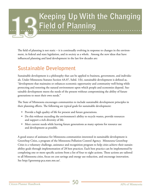

The field of planning is not static – it is continually evolving in response to changes in the environment, in federal and state legislation, and in society as a whole. Among the new ideas that have influenced planning and land development in the last few decades are:

### **Sustainable Development**

Sustainable development is a philosophy that can be applied to business, government, and individuals. Under Minnesota Statutes Section 4A.07, Subd. 1(b), sustainable development is defined as, "development that maintains or enhances economic opportunity and community well-being while protecting and restoring the natural environment upon which people and economies depend. Sustainable development meets the needs of the present without compromising the ability of future generations to meet their own needs."

The State of Minnesota encourages communities to include sustainable development principles in their planning efforts. The following are typical goals for sustainable development:

- Provide a high quality of life for present and future generations.
- Do this without exceeding the environment's ability to recycle wastes, provide resources and support a rich diversity of life.
- Meet current needs while leaving future generations as many options for resource use and development as possible.

A good source of assistance for Minnesota communities interested in sustainable development is GreenStep Cities, a program of the Minnesota Pollution Control Agency. Minnesota GreenStep Cities is a voluntary challenge, assistance and recognition program to help cities achieve their sustainability goals through implementation of 28 best practices. Each best practice can be implemented by completing one or more specific actions from a list of four to eight actions. These actions are tailored to all Minnesota cities, focus on cost savings and energy use reduction, and encourage innovation. See http://greenstep.pca.state.mn.us/.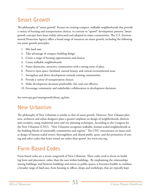## **Smart Growth**

The philosophy of "smart growth" focuses on creating compact, walkable neighborhoods that provide a variety of housing and transportation choices, in contrast to "sprawl" development patterns. Smart growth concepts have been widely advocated and adopted in many communities. The U.S. Environmental Protection Agency offers a broad range of resources on smart growth, including the following ten smart growth principles:

- 1. Mix land uses
- 2. Take advantage of compact building design
- 3. Create a range of housing opportunities and choices
- 4. Create walkable neighborhoods
- 5. Foster distinctive, attractive communities with a strong sense of place
- 6. Preserve open space, farmland, natural beauty, and critical environmental areas
- 7. Strengthen and direct development towards existing communities
- 8. Provide a variety of transportation choices
- 9. Make development decisions predictable, fair, and cost effective
- 10. Encourage community and stakeholder collaboration in development decisions

See www.epa.gov/smartgrowth/about\_sg.htm.

## **New Urbanism**

The philosophy of New Urbanism is similar to that of smart growth. However, New Urbanist planners, architects and urban designers place a greater emphasis on design of neighborhoods, districts and corridors, using traditional town and city planning techniques. According to the Congress for the New Urbanism (CNU), "New Urbanism recognizes walkable, human-scaled neighborhoods as the building blocks of sustainable communities and regions." The CNU concentrates on issues such as design of human-scaled streets, thoroughfares and shared public space, and the promotion of zoning and other codes that foster mixed use rather than sprawl. See www.cnu.org.

## **Form-Based Codes**

Form-based codes are a recent outgrowth of New Urbanism. These codes tend to focus on building form and placement, rather than the uses within buildings. By emphasizing the relationships among buildings, and between buildings and streets or public spaces, it becomes feasible to combine a broader range of land uses, from housing to offices, shops and workshops, that are typically kept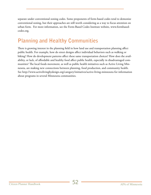separate under conventional zoning codes. Some proponents of form-based codes tend to demonize conventional zoning, but their approaches are still worth considering as a way to focus attention on urban form. For more information, see the Form-Based Codes Institute website, www.formbasedcodes.org.

## **Planning and Healthy Communities**

There is growing interest in the planning field in how land use and transportation planning affect public health. For example, how do street designs affect individual behaviors such as walking or biking? How do development patterns affect these same transportation choices? How does the availability, or lack, of affordable and healthy food affect public health, especially in disadvantaged communities? The local foods movement, as well as public health initiatives such as Active Living Minnesota, are making new connections between planning, food production, and community health. See http://www.activelivingbydesign.org/category/initiatives/active-living-minnesota for information about programs in several Minnesota communities.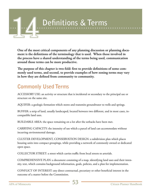

**One of the most critical components of any planning discussion or planning document is the definitions of the terminology that is used. When those involved in the process have a shared understanding of the terms being used, communication around those terms can be more productive.**

**The purpose of this chapter is two-fold: first to provide definitions of some commonly used terms, and second, to provide examples of how zoning terms may vary in how they are defined from community to community.**

## **Commonly Used Terms**

ACCESSORY USE: an activity or structure that is incidental or secondary to the principal use or structure on the same site.

AQUIFER: a geologic formation which stores and transmits groundwater to wells and springs.

BUFFER: a strip of land, usually landscaped, located between two different, and in most cases, incompatible land uses.

BUILDABLE AREA: the space remaining on a lot after the setbacks have been met.

CARRYING CAPACITY: the intensity of use which a parcel of land can accommodate without incurring environmental damage.

CLUSTER DEVELOPMENT, CONSERVATION DESIGN: a subdivision plan which places housing units into compact groupings, while providing a network of commonly owned or dedicated open space.

COLLECTOR STREET: a street which carries traffic from local streets to arterials.

COMPREHENSIVE PLAN: a document consisting of a map, identifying land uses and their intensity, text, which contains background information, goals, policies, and a plan for implementation.

CONFLICT OF INTEREST: any direct contractual, pecuniary or other beneficial interest in the outcome of a matter before the Commission.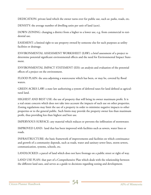DEDICATION: private land which the owner turns over for public use, such as: parks, roads, etc.

DENSITY: the average number of dwelling units per unit of land (acre).

DOWN ZONING: changing a district from a higher to a lower use, e.g. from commercial to residential use.

EASEMENT: a limited right to use property owned by someone else for such purposes as utility facilities or drainage.

ENVIRONMENTAL ASSESSMENT WORKSHEET (EAW): a brief assessment of a project to determine potential significant environmental effects and the need for Environmental Impact Statement.

ENVIRONMENTAL IMPACT STATEMENT (EIS): an analysis and evaluation of the potential effects of a project on the environment.

FLOOD PLAIN: the area adjoining a watercourse which has been, or may be, covered by flood waters.

GREEN ACRES LAW: a state law authorizing a system of deferred taxes for land defined as agricultural land.

HIGHEST AND BEST USE: the use of property that will bring its owner maximum profit. It is a real estate concern which does not take into account the impacts of such use on other properties. Zoning regulations may limit the use of a property in order to minimize negative impacts to other properties or to the general public. Such limits may provide the property owner less than maximum profit, thus providing less than highest and best use.

IMPERVIOUS SURFACE: any material which reduces or prevents the infiltration of stormwater.

IMPROVED LAND: land that has been improved with facilities such as sewers, water lines or roads.

INFRASTRUCTURE: the basic framework of improvements and facilities on which continuance and growth of a community depends, such as roads, water and sanitary sewer lines, storm sewers, communication, systems, schools, etc.

LANDLOCKED: a parcel of land which does not have frontage on a public street or right of way.

LAND USE PLAN: that part of a Comprehensive Plan which deals with the relationship between the different land uses, and serves as a guide to decisions regarding zoning and development.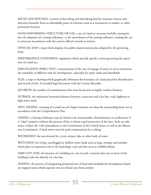METES AND BOUNDS: a system of describing and identifying land by measures (metes) and direction (bounds) from an identifiable point of reference such as a monument or marker, or other permanent features.

NONCONFORMING STRUCTURE OR USE: a use of a land or structure lawfully existing before the adoption of a zoning ordinance, or the amendment of the zoning ordinance, making the use or structure inconsistent with the current official controls as written.

OFFICIAL MAP: a map which displays the public improvements plan adopted by the governing body.

PERFORMANCE STANDARDS: regulations which provide specific criteria governing the operation of a land use.

PERCOLATION (PERC) TEST: a measurement of the rate of seepage of water in soil to determine the suitability of different soils for development, especially for septic tanks and drainfields.

PLAT: a map or drawing which graphically delineates the boundary of a land parcel for identification and record of title. A recorded legal document with the County Recorder.

QUORUM: the number of commissioners that must be present to legally conduct business.

SETBACK: the minimum horizontal distance between a structure and a lot line, road, highway or high water mark.

SPOT ZONING: rezoning of a small area for higher intensity use than the surrounding land, not in accordance with the Comprehensive Plan.

TAKING: a Zoning Ordinance may be found to be unreasonable, discriminatory or confiscatory if it "takes" property without due process of law or denies equal protection of the laws. Such an ordinance violates the 14th Amendment to the Constitution of the United States, as well as the Minnesota Constitution. A land owner must be paid compensation for a taking.

WATERSHED: the area drained by a river, stream, lake or other body of water.

WETLANDS: low-lying, waterlogged or shallow water lands such as bogs, swamps and marshes which play an important role in the hydrologic cycle and also serve as wildlife habitat.

ZERO LOT LINE: the location of a building on a lot in such a manner that one or more of the building's sides lies directly on a lot line.

ZONING: the practice of designating permitted uses of land and standards for development based on mapped zones which separate one set of land uses from another.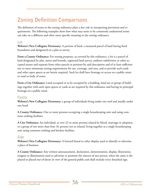## **Zoning Definition Comparisons**

The definition of terms in the zoning ordinance plays a key role in interpreting provisions and requirements. The following examples show how what may seem to be commonly understood terms can take on a different and often more specific meaning in the zoning ordinance.

#### **Lot**

**Webster's New Collegiate Dictionary:** A portion of land; a measured parcel of land having fixed boundaries and designated on a plat or survey.

**From a County Ordinance:** For zoning purposes, as covered by this ordinance, a lot is a parcel of land designated by plat, metes and bounds, registered land survey, auditors subdivision or other accepted means and separate from other parcels or portions by said description and of at least sufficient size to meet minimum zoning requirements for use, coverage, and area, and to provide such yards and other open spaces as are herein required. Such lot shall have frontage or access on a public street or road or body of water.

**From a City Ordinance:** Land occupied or to be occupied by a building, land use or group of buildings together with such open spaces or yards as are required by this ordinance and having its principal frontage on a public street.

#### **Family**

**Webster's New Collegiate Dictionary:** a group of individuals living under one roof and usually under one head.

**A County Ordinance:** One or more persons occupying a single housekeeping unit and using common cooking facilities.

**A City Ordinance:** An individual, or two (2) or more persons related by blood, marriage or adoption, or a group of not more than four (4) persons not so related, living together as a single housekeeping unit using common cooking and kitchen facilities.

#### **Sign**

**Webster's New Collegiate Dictionary:** A lettered board or other display used to identify or advertise a place of business.

**A County Ordinance:** Any written announcement, declaration, demonstration, display, illustration, insignia or illumination used to advertise or promote the interest of any person, when the same is displayed or placed out-of-doors in view of the general public and shall include every detached sign.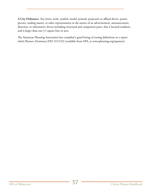**A City Ordinance:** Any letter, work, symbol, model, printed, projected, or affixed device, poster, picture, reading matter, or other representation in the nature of an advertisement, announcement, direction, or informative device including structural and component parts, that is located outdoors and is larger than one (1) square foot in area.

The American Planning Association has compiled a good listing of zoning definitions in a report titled *Planners Dictionary* (PAS 521/522) (available from APA, at www.planning.org/apastore).